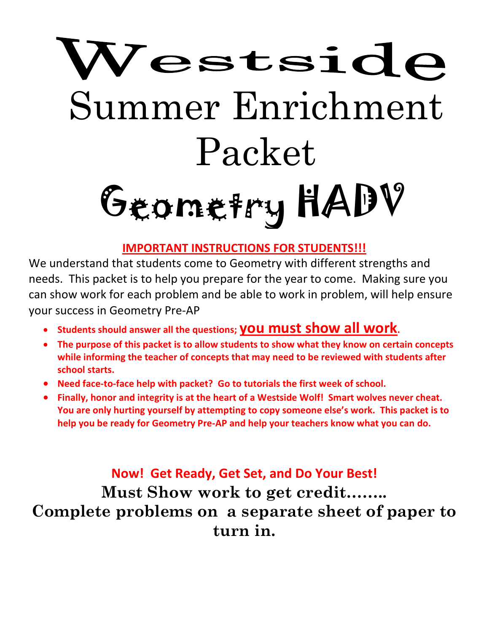# Westside Summer Enrichment Packet Geometry HADV

# **IMPORTANT INSTRUCTIONS FOR STUDENTS!!!**

We understand that students come to Geometry with different strengths and needs. This packet is to help you prepare for the year to come. Making sure you can show work for each problem and be able to work in problem, will help ensure your success in Geometry Pre-AP

- **Students should answer all the questions; you must show all work.**
- **The purpose of this packet is to allow students to show what they know on certain concepts while informing the teacher of concepts that may need to be reviewed with students after school starts.**
- **Need face-to-face help with packet? Go to tutorials the first week of school.**
- **Finally, honor and integrity is at the heart of a Westside Wolf! Smart wolves never cheat. You are only hurting yourself by attempting to copy someone else's work. This packet is to help you be ready for Geometry Pre-AP and help your teachers know what you can do.**

**Now! Get Ready, Get Set, and Do Your Best! Must Show work to get credit…….. Complete problems on a separate sheet of paper to turn in.**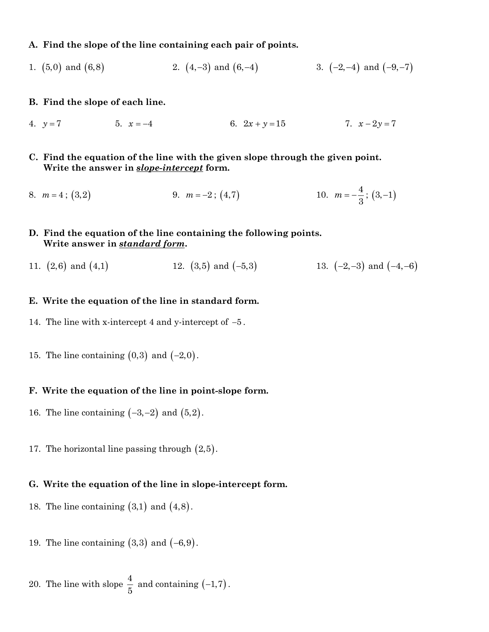#### **A. Find the slope of the line containing each pair of points.**

- 1. (5,0) and (6,8) 2.  $(4,-3)$  and  $(6,-4)$ 3.  $(-2,-4)$  and  $(-9,-7)$
- **B. Find the slope of each line.**
- 4.  $y = 7$ 5.  $x = -4$ 6.  $2x + y = 15$ 7.  $x - 2y = 7$
- **C. Find the equation of the line with the given slope through the given point. Write the answer in** *slope-intercept* **form.**
- 8.  $m = 4$ ; (3,2) 9.  $m = -2$ ;  $(4,7)$ 10.  $m = -\frac{4}{3}$ 3  $m = -\frac{4}{5}$ ; (3,-1)
- **D. Find the equation of the line containing the following points. Write answer in** *standard form***.**
- 11.  $(2,6)$  and  $(4,1)$ 12.  $(3,5)$  and  $(-5,3)$ 13.  $(-2,-3)$  and  $(-4,-6)$

#### **E. Write the equation of the line in standard form.**

- 14. The line with x-intercept 4 and y-intercept of −<sup>5</sup> .
- 15. The line containing  $(0,3)$  and  $(-2,0)$ .

#### **F. Write the equation of the line in point-slope form.**

- 16. The line containing  $(-3,-2)$  and  $(5,2)$ .
- 17. The horizontal line passing through  $(2,5)$ .

#### **G. Write the equation of the line in slope-intercept form.**

- 18. The line containing  $(3,1)$  and  $(4,8)$ .
- 19. The line containing  $(3,3)$  and  $(-6,9)$ .

20. The line with slope 
$$
\frac{4}{5}
$$
 and containing (-1,7).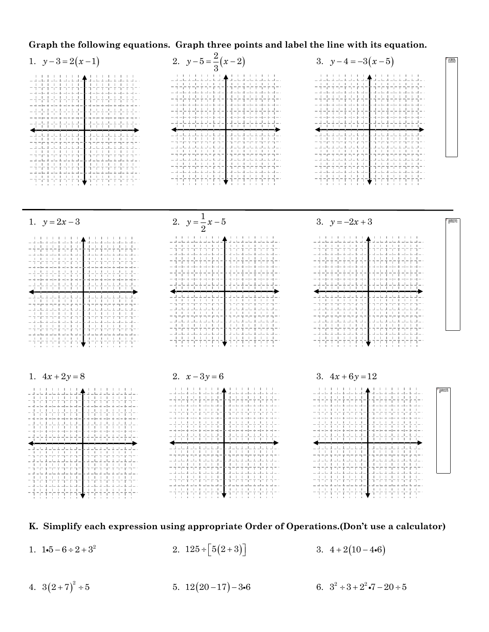### **Graph the following equations. Graph three points and label the line with its equation.**



#### **K. Simplify each expression using appropriate Order of Operations.(Don't use a calculator)**

- 1.  $1 \cdot 5 6 \div 2 + 3^2$ 2.  $125 \div [5(2+3)]$ 3.  $4+2(10-4.6)$
- 4.  $3(2+7)^2 \div 5$ 5.  $12(20-17)-36$  6.  $3^2 \div 3 + 2^2 \cdot 7 - 20 \div 5$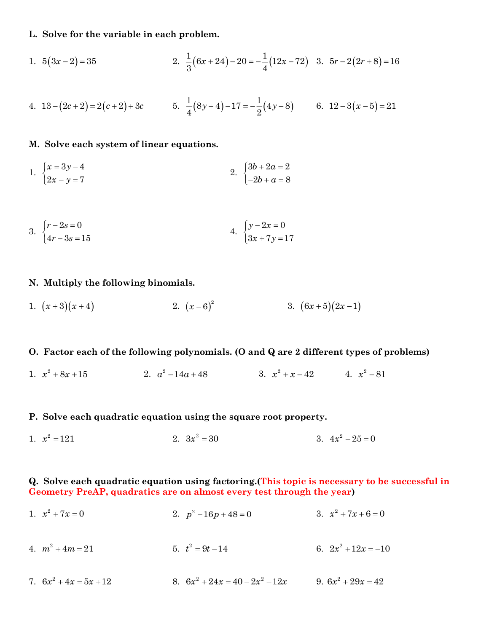#### **L. Solve for the variable in each problem.**

1. 
$$
5(3x-2) = 35
$$
  
2.  $\frac{1}{3}(6x+24) - 20 = -\frac{1}{4}(12x-72)$  3.  $5r - 2(2r+8) = 16$ 

4. 
$$
13 - (2c + 2) = 2(c + 2) + 3c
$$
 5.  $\frac{1}{4}(8y + 4) - 17 = -\frac{1}{2}(4y - 8)$  6.  $12 - 3(x - 5) = 21$ 

#### **M. Solve each system of linear equations.**

1. 
$$
\begin{cases} x = 3y - 4 \\ 2x - y = 7 \end{cases}
$$
  
2. 
$$
\begin{cases} 3b + 2a = 2 \\ -2b + a = 8 \end{cases}
$$

3. 
$$
\begin{cases} r - 2s = 0 \\ 4r - 3s = 15 \end{cases}
$$
4. 
$$
\begin{cases} y - 2x = 0 \\ 3x + 7y = 17 \end{cases}
$$

#### **N. Multiply the following binomials.**

1.  $(x+3)(x+4)$ <br>2.  $(x-6)^2$ <br>3.  $(6x+5)(2x-1)$ 

#### **O. Factor each of the following polynomials. (O and Q are 2 different types of problems)**

1.  $x^2 + 8x + 15$ 2.  $a^2 - 14a + 48$  3.  $x^2 + x - 42$  4.  $x^2 - 81$ 

#### **P. Solve each quadratic equation using the square root property.**

1.  $x^2 = 121$ 2.  $3x^2 = 30$  $3. \quad 4x^2 - 25 = 0$ 

#### **Q. Solve each quadratic equation using factoring.(This topic is necessary to be successful in Geometry PreAP, quadratics are on almost every test through the year)**

| 1. $x^2 + 7x = 0$        | 2. $p^2 - 16p + 48 = 0$           | 3. $x^2 + 7x + 6 = 0$ |
|--------------------------|-----------------------------------|-----------------------|
| 4. $m^2 + 4m = 21$       | 5. $t^2 = 9t - 14$                | 6. $2x^2 + 12x = -10$ |
| 7. $6x^2 + 4x = 5x + 12$ | 8. $6x^2 + 24x = 40 - 2x^2 - 12x$ | 9. $6x^2 + 29x = 42$  |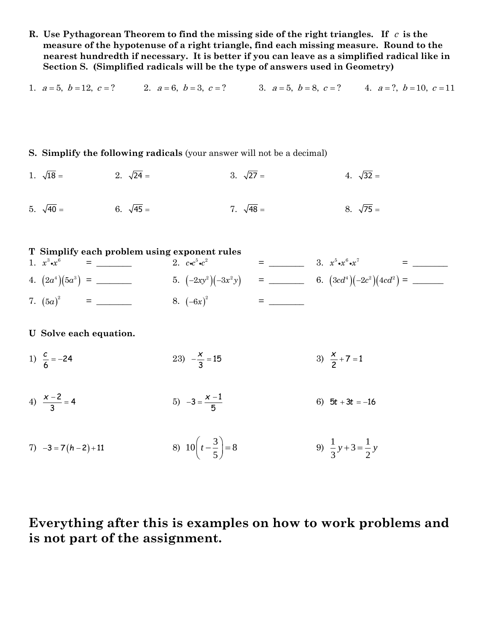**R. Use Pythagorean Theorem to find the missing side of the right triangles. If**  c **is the measure of the hypotenuse of a right triangle, find each missing measure. Round to the nearest hundredth if necessary. It is better if you can leave as a simplified radical like in Section S. (Simplified radicals will be the type of answers used in Geometry)**

1.  $a = 5, b = 12, c = ?$ <br>2.  $a = 6, b = 3, c = ?$ <br>3.  $a = 5, b = 8, c = ?$ <br>4.  $a = ?, b = 10, c = 11$ 

#### **S. Simplify the following radicals** (your answer will not be a decimal)

1.  $\sqrt{18}$  = 2.  $\sqrt{24}$  =  $3. \sqrt{27}$  =  $4. \sqrt{32} =$ 

5.  $\sqrt{40}$  = 6.  $\sqrt{45}$  =  $7. \sqrt{48} =$  $8. \sqrt{75} =$ 

#### **T Simplify each problem using exponent rules** 1. <sup>3</sup> <sup>6</sup> *<sup>x</sup> <sup>x</sup>* = \_\_\_\_\_\_\_\_ 2. 2.  $c \cdot c^5 \cdot c^2$ = \_\_\_\_\_\_\_\_ 3. <sup>5</sup> <sup>6</sup> <sup>7</sup> *<sup>x</sup> <sup>x</sup> <sup>x</sup>* = \_\_\_\_\_\_\_\_ 4. ( )( ) 4 3 2 5 *a a* = \_\_\_\_\_\_\_\_ 5. ( )( ) 2 2 − <sup>−</sup> 2 3 *xy <sup>x</sup> y* = \_\_\_\_\_\_\_\_ 6. ( )( )( ) 4 2 <sup>2</sup> <sup>3</sup> <sup>2</sup> <sup>4</sup> *cd <sup>c</sup> cd* <sup>−</sup> = \_\_\_\_\_\_\_ 7. ( ) 2 5*<sup>a</sup>* = \_\_\_\_\_\_\_\_ 8. ( ) 2 <sup>−</sup>6*<sup>x</sup>* = \_\_\_\_\_\_\_\_

**U Solve each equation.**

- 1)  $\frac{c}{6} = -24$ *c* 23)  $-\frac{2}{3} = 15$ *x* 3)  $\frac{1}{2} + 7 = 1$ 2 *x*
- 4)  $\frac{x-2}{3} = 4$ *x* 5)  $-3 = \frac{x-1}{5}$ *x* 6)  $5t + 3t = -16$
- $7)$   $-3 = 7(h-2)+11$ 8)  $10\left(t-\frac{3}{5}\right) = 8$  $\left(t-\frac{3}{5}\right)$ = 9)  $\frac{1}{2}y+3=\frac{1}{2}$  $\frac{1}{3}y+3=-\frac{1}{2}y$

# **Everything after this is examples on how to work problems and is not part of the assignment.**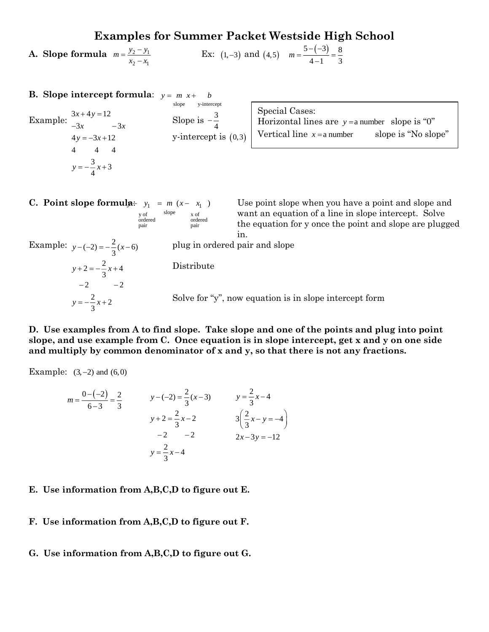## **Examples for Summer Packet Westside High School**

**A. Slope formula**  $m = \frac{y_2 - y_1}{x_2 - y_1}$ 2  $\lambda$ 1  $m = \frac{y_2 - y}{x_2 - x}$  $=\frac{y_2-}{x_2-}$ Ex: (1,-3) and (4,5)  $m = \frac{5 - (-3)}{4} = \frac{8}{3}$  $m = \frac{3 - (-3)}{4 - 1} = \frac{8}{3}$ 

| <b>B.</b> Slope intercept formula: $y = m x + b$                                         |                                                                           |                                                                                                    |                     |
|------------------------------------------------------------------------------------------|---------------------------------------------------------------------------|----------------------------------------------------------------------------------------------------|---------------------|
| Example: $\frac{3x+4y=12}{-3x}$ -3x<br>$4y = -3x + 12$<br>- 4<br>$y = -\frac{3}{4}x + 3$ | y-intercept<br>slope<br>Slope is $-\frac{3}{4}$<br>y-intercept is $(0,3)$ | Special Cases:<br>Horizontal lines are $y = a$ number slope is "0"<br>Vertical line $x = a$ number | slope is "No slope" |
|                                                                                          |                                                                           |                                                                                                    |                     |

 $\mathbf{R} \div y_1 = m (x - x_1)$ y of slope <br>ordered <br>ordered <br>ordered ordered ordered pair pair

Use point slope when you have a point and slope and want an equation of a line in slope intercept. Solve the equation for y once the point and slope are plugged in.

 $y - (-2) = -\frac{2}{3}(x - 6)$  $2 = -\frac{2}{3}x + 4$ 2  $-2$  $y = -\frac{2}{3}x + 2$  $y + 2 = -\frac{y}{x} + \frac{z}{y}$ −∠ −

plug in ordered pair and slope

Distribute

Solve for "y", now equation is in slope intercept form

**D. Use examples from A to find slope. Take slope and one of the points and plug into point slope, and use example from C. Once equation is in slope intercept, get x and y on one side and multiply by common denominator of x and y, so that there is not any fractions.**

Example:  $(3, -2)$  and  $(6, 0)$ 

$$
m = \frac{0 - (-2)}{6 - 3} = \frac{2}{3}
$$
  

$$
y - (-2) = \frac{2}{3}(x - 3)
$$
  

$$
y = \frac{2}{3}x - 4
$$
  

$$
y + 2 = \frac{2}{3}x - 2
$$
  

$$
y = \frac{2}{3}x - 4
$$
  

$$
y = \frac{2}{3}x - 4
$$
  

$$
y = \frac{2}{3}x - 4
$$
  

$$
y = \frac{2}{3}x - 4
$$

#### **E. Use information from A,B,C,D to figure out E.**

- **F. Use information from A,B,C,D to figure out F.**
- **G. Use information from A,B,C,D to figure out G.**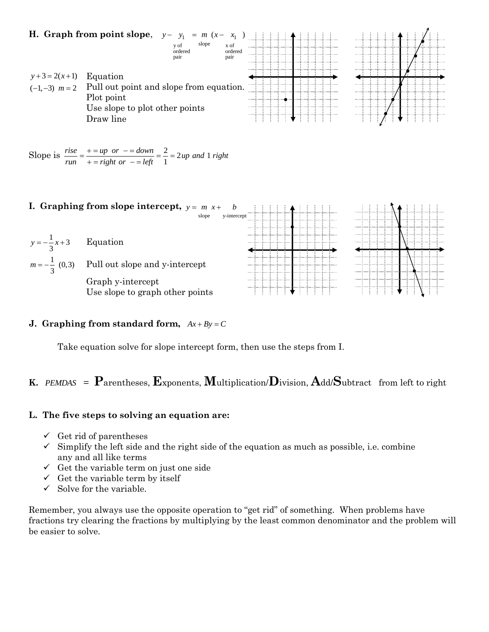

#### **J.** Graphing from standard form,  $Ax + By = C$

Take equation solve for slope intercept form, then use the steps from I.

## **K.**  *PEMDAS*<sup>=</sup>**P**arentheses, **E**xponents, **M**ultiplication/**D**ivision, **A**dd/**S**ubtract from left to right

#### **L. The five steps to solving an equation are:**

- $\checkmark$  Get rid of parentheses
- $\checkmark$  Simplify the left side and the right side of the equation as much as possible, i.e. combine any and all like terms
- $\checkmark$  Get the variable term on just one side
- $\checkmark$  Get the variable term by itself
- $\checkmark$  Solve for the variable.

Remember, you always use the opposite operation to "get rid" of something. When problems have fractions try clearing the fractions by multiplying by the least common denominator and the problem will be easier to solve.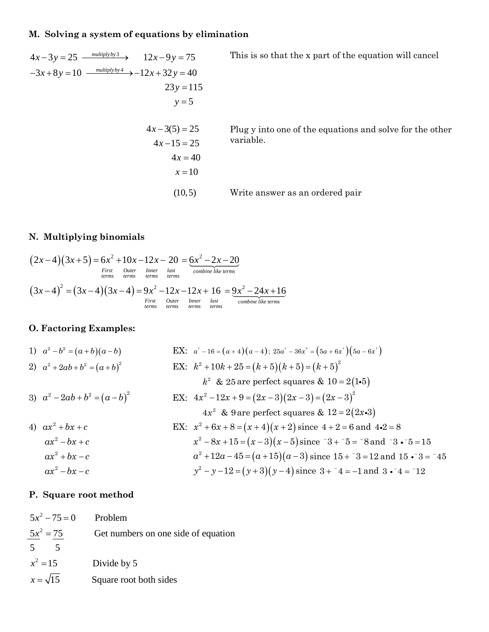## **M. Solving a system of equations by elimination**

$$
4x-3y = 25 \xrightarrow{multiplyby 3} 12x-9y = 75
$$
 This is so that the x part of the equation will cancel  
\n
$$
-3x+8y = 10 \xrightarrow{multiplyby 4} -12x+32y = 40
$$
  
\n
$$
23y = 115
$$
  
\n
$$
y = 5
$$
 Plug y into one of the equations and solve for the other  
\n
$$
4x-3(5) = 25
$$
 Plug y into one of the equations and solve for the other  
\nvariable.  
\n
$$
4x = 40
$$
  
\n
$$
x = 10
$$
  
\n(10,5) Write answer as an ordered pair

## **N. Multiplying binomials**

$$
(2x-4)(3x+5) = 6x2 + 10x - 12x - 20 = 6x2 - 2x - 20
$$
  
First  
terms terms terms terms terms  

$$
(3x-4)2 = (3x-4)(3x-4) = 9x2 - 12x - 12x + 16 = 9x2 - 24x + 16
$$
  
First  
terms terms terms terms terms

## **O. Factoring Examples:**

1) 
$$
a^2-b^2 = (a+b)(a-b)
$$
  
\n2)  $a^2 + 2ab + b^2 = (a+b)^2$   
\n3)  $a^2 - 2ab + b^2 = (a-b)^2$   
\n4)  $a^2 + bx + c$   
\n5)  $a^2 - bx - c$   
\n6)  $EX: x^2 + 10k + 25 = (k+5)(k+5) = (k+5)^2$   
\n7)  $k^2 + 20k + b^2 = (a-b)^2$   
\n8)  $x^2 - 2ab + b^2 = (a-b)^2$   
\n9)  $x^2 - 2ab + b^2 = (a-b)^2$   
\n10)  $EX: 4x^2 - 12x + 9 = (2x-3)(2x-3) = (2x-3)^2$   
\n $4x^2 - 8x + 15 = (x+4)(x+2)$  since  $4+2 = 6$  and  $4 \cdot 2 = 8$   
\n $4x^2 + bx + c$   
\n $4x^2 - 8x + 15 = (x-3)(x-5)$  since  $x^2 + 5 = 7$  and  $x^2 - 5 = 15$   
\n $4x^2 + bx - c$   
\n $4x^2 + 12a - 45 = (a+15)(a-3)$  since  $15 + 73 = 12$  and  $15 \cdot 3 = -45$   
\n $4x^2 - 8x + 15 = (x-3)(x-5)$  since  $15 + 73 = 12$  and  $15 \cdot 3 = -45$   
\n $4x^2 - 8x + 15 = (x-3)(x-5)$  since  $15 + 73 = 12$  and  $15 \cdot 3 = -45$   
\n $4x^2 - 8x + 15 = (x-3)(x-5)$  since  $15 + 73 = 12$  and  $15 \cdot 3 = -45$   
\n $4x^2 - 8x + 15 = (x-3)(x-5)$  since  $15 + 73 = 12$  and  $15 \cdot 3 = -45$   
\n $5x = 1$ 

## **P. Square root method**

| $5x^2 - 75 = 0$ | Problem                             |
|-----------------|-------------------------------------|
| $5x^2 = 75$     | Get numbers on one side of equation |
| $5^{\circ}$     |                                     |
| $x^2 = 15$      | Divide by 5                         |
| $x=\sqrt{15}$   | Square root both sides              |